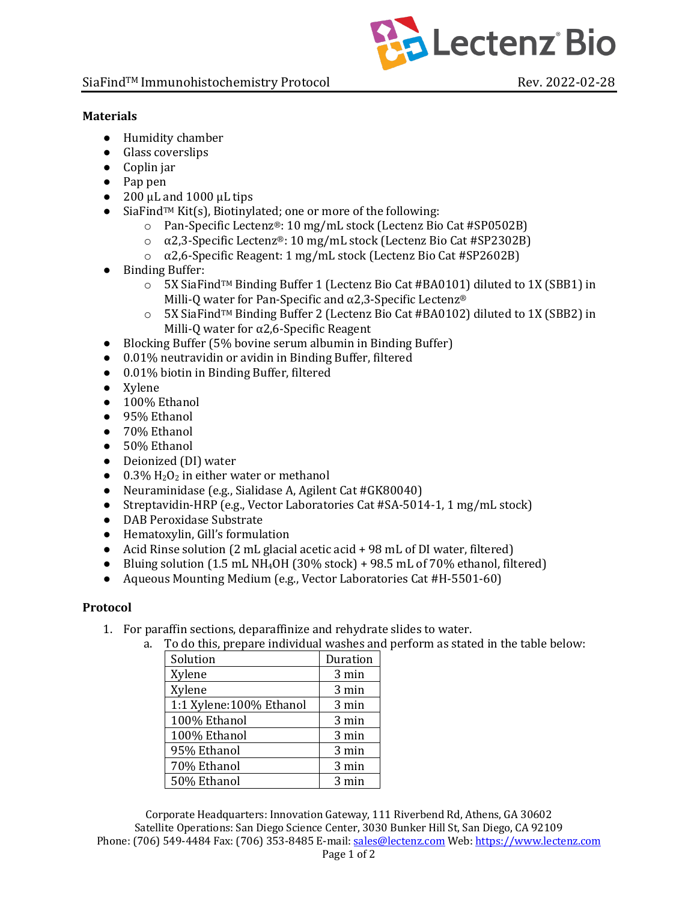

## **Materials**

- Humidity chamber
- Glass coverslips
- Coplin jar
- $\bullet$  Pap pen
- $\bullet$  200 μL and 1000 μL tips
- SiaFind<sup>™</sup> Kit(s), Biotinylated; one or more of the following:
	- o Pan-Specific Lectenz®: 10 mg/mL stock (Lectenz Bio Cat #SP0502B)
	- ο  $\alpha$ 2,3-Specific Lectenz®: 10 mg/mL stock (Lectenz Bio Cat #SP2302B)
	- ο  $\alpha$ 2,6-Specific Reagent: 1 mg/mL stock (Lectenz Bio Cat #SP2602B)
- Binding Buffer:
	- $\circ$  5X SiaFind<sup>TM</sup> Binding Buffer 1 (Lectenz Bio Cat #BA0101) diluted to 1X (SBB1) in Milli-Q water for Pan-Specific and  $\alpha$ 2,3-Specific Lectenz®
	- $\circ$  5X SiaFind<sup>TM</sup> Binding Buffer 2 (Lectenz Bio Cat #BA0102) diluted to 1X (SBB2) in Milli-Q water for  $\alpha$ 2,6-Specific Reagent
- Blocking Buffer (5% bovine serum albumin in Binding Buffer)
- 0.01% neutravidin or avidin in Binding Buffer, filtered
- 0.01% biotin in Binding Buffer, filtered
- Xylene
- 100% Ethanol
- 95% Ethanol
- 70% Ethanol
- 50% Ethanol
- Deionized (DI) water
- $\bullet$  0.3%  $H_2O_2$  in either water or methanol
- Neuraminidase (e.g., Sialidase A, Agilent Cat #GK80040)
- Streptavidin-HRP (e.g., Vector Laboratories Cat #SA-5014-1, 1 mg/mL stock)
- DAB Peroxidase Substrate
- Hematoxylin, Gill's formulation
- Acid Rinse solution (2 mL glacial acetic acid + 98 mL of DI water, filtered)
- Bluing solution  $(1.5 \text{ mL NH}_4$ OH $(30\% \text{ stock}) + 98.5 \text{ mL of } 70\%$  ethanol, filtered)
- Aqueous Mounting Medium (e.g., Vector Laboratories Cat #H-5501-60)

## **Protocol**

- 1. For paraffin sections, deparaffinize and rehydrate slides to water.
	- a. To do this, prepare individual washes and perform as stated in the table below:

| 10 ao 1110, proparo marriadar raones ar |          |
|-----------------------------------------|----------|
| Solution                                | Duration |
| Xylene                                  | 3 min    |
| Xylene                                  | 3 min    |
| 1:1 Xylene:100% Ethanol                 | 3 min    |
| 100% Ethanol                            | 3 min    |
| 100% Ethanol                            | 3 min    |
| 95% Ethanol                             | 3 min    |
| 70% Ethanol                             | 3 min    |
| 50% Ethanol                             | 3 min    |